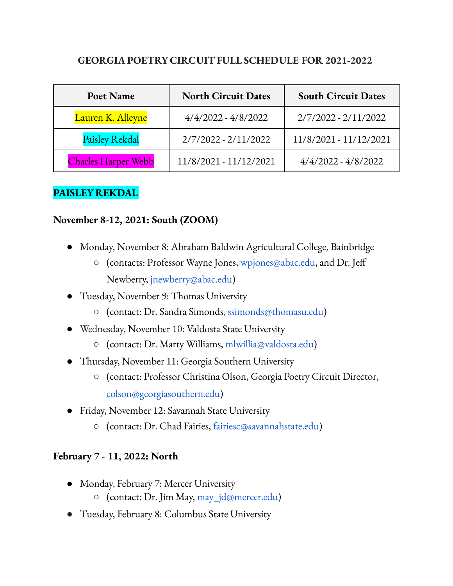### **GEORGIA POETRY CIRCUITFULL SCHEDULE FOR 2021-2022**

| Poet Name                  | <b>North Circuit Dates</b> | <b>South Circuit Dates</b> |
|----------------------------|----------------------------|----------------------------|
| Lauren K. Alleyne          | $4/4/2022 - 4/8/2022$      | $2/7/2022 - 2/11/2022$     |
| <b>Paisley Rekdal</b>      | $2/7/2022 - 2/11/2022$     | $11/8/2021 - 11/12/2021$   |
| <b>Charles Harper Webb</b> | 11/8/2021 - 11/12/2021     | $4/4/2022 - 4/8/2022$      |

#### **PAISLEY REKDAL**

#### **November 8-12, 2021: South (ZOOM)**

- Monday, November 8: Abraham Baldwin Agricultural College, Bainbridge
	- (contacts: Professor Wayne Jones, wpjones@abac.edu, and Dr. Jeff Newberry, jnewberry@abac.edu)
- Tuesday, November 9: Thomas University
	- (contact: Dr. Sandra Simonds, ssimonds@thomasu.edu)
- Wednesday, November 10: Valdosta State University
	- (contact: Dr. Marty Williams, mlwillia@valdosta.edu)
- Thursday, November 11: Georgia Southern University
	- (contact: Professor Christina Olson, Georgia Poetry Circuit Director, colson@georgiasouthern.edu)
- Friday, November 12: Savannah State University
	- **○** (contact: Dr. Chad Fairies, fairiesc@savannahstate.edu)

#### **February 7 - 11, 2022: North**

- *●* Monday, February 7: Mercer University
	- (contact: Dr. Jim May, may\_jd@mercer.edu)
- Tuesday, February 8: Columbus State University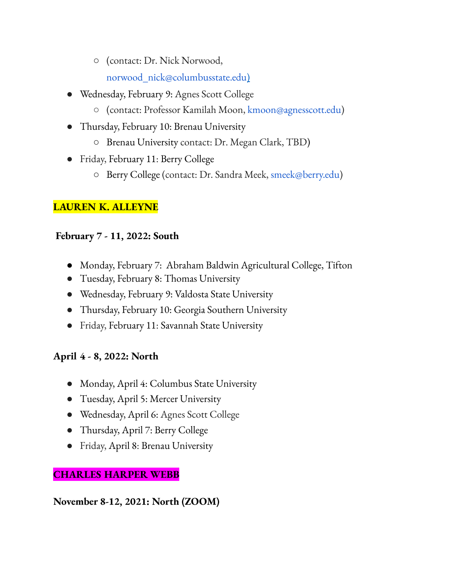- (contact: Dr. Nick Norwood, norwood\_nick@columbusstate.edu)
- Wednesday, February 9: Agnes Scott College
	- (contact: Professor Kamilah Moon, kmoon@agnesscott.edu)
- Thursday, February 10: Brenau University
	- Brenau University contact: Dr. Megan Clark, TBD)
- Friday, February 11: Berry College
	- Berry College (contact: Dr. Sandra Meek, smeek@berry.edu)

# **LAUREN K. ALLEYNE**

## **February 7 - 11, 2022: South**

- *●* Monday, February 7: Abraham Baldwin Agricultural College, Tifton
- Tuesday, February 8: Thomas University
- Wednesday, February 9: Valdosta State University
- Thursday, February 10: Georgia Southern University
- Friday, February 11: Savannah State University

# **April 4 - 8, 2022: North**

- Monday, April 4: Columbus State University
- Tuesday, April 5: Mercer University
- Wednesday, April 6: Agnes Scott College
- Thursday, April 7: Berry College
- Friday, April 8: Brenau University

# **CHARLES HARPER WEBB**

# **November 8-12, 2021: North (ZOOM)**